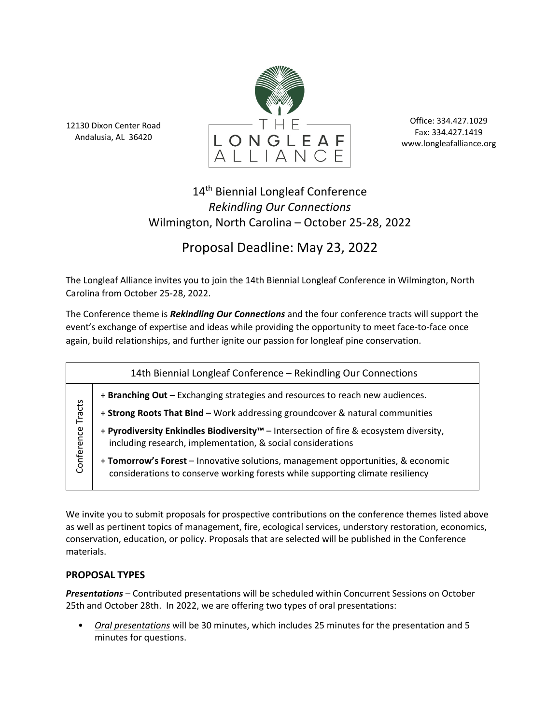12130 Dixon Center Road Andalusia, AL 36420



Office: 334.427.1029 Fax: 334.427.1419 www.longleafalliance.org

## 14<sup>th</sup> Biennial Longleaf Conference *Rekindling Our Connections* Wilmington, North Carolina – October 25-28, 2022

# Proposal Deadline: May 23, 2022

The Longleaf Alliance invites you to join the 14th Biennial Longleaf Conference in Wilmington, North Carolina from October 25-28, 2022.

The Conference theme is *Rekindling Our Connections* and the four conference tracts will support the event's exchange of expertise and ideas while providing the opportunity to meet face-to-face once again, build relationships, and further ignite our passion for longleaf pine conservation.

| 14th Biennial Longleaf Conference - Rekindling Our Connections |                                                                                                                                                                    |
|----------------------------------------------------------------|--------------------------------------------------------------------------------------------------------------------------------------------------------------------|
| Tracts<br>Conference                                           | + Branching Out - Exchanging strategies and resources to reach new audiences.                                                                                      |
|                                                                | + Strong Roots That Bind - Work addressing groundcover & natural communities                                                                                       |
|                                                                | + Pyrodiversity Enkindles Biodiversity™ - Intersection of fire & ecosystem diversity,<br>including research, implementation, & social considerations               |
|                                                                | + Tomorrow's Forest - Innovative solutions, management opportunities, & economic<br>considerations to conserve working forests while supporting climate resiliency |

We invite you to submit proposals for prospective contributions on the conference themes listed above as well as pertinent topics of management, fire, ecological services, understory restoration, economics, conservation, education, or policy. Proposals that are selected will be published in the Conference materials.

### **PROPOSAL TYPES**

*Presentations* – Contributed presentations will be scheduled within Concurrent Sessions on October 25th and October 28th. In 2022, we are offering two types of oral presentations:

• *Oral presentations* will be 30 minutes, which includes 25 minutes for the presentation and 5 minutes for questions.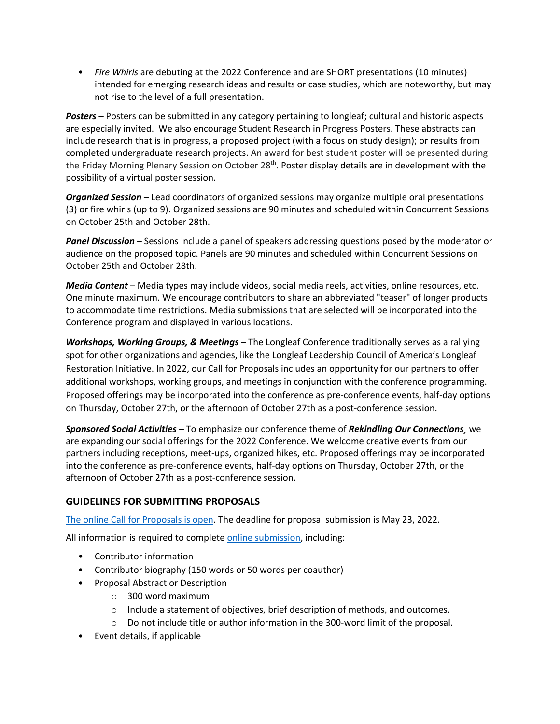• *Fire Whirls* are debuting at the 2022 Conference and are SHORT presentations (10 minutes) intended for emerging research ideas and results or case studies, which are noteworthy, but may not rise to the level of a full presentation.

*Posters –* Posters can be submitted in any category pertaining to longleaf; cultural and historic aspects are especially invited. We also encourage Student Research in Progress Posters. These abstracts can include research that is in progress, a proposed project (with a focus on study design); or results from completed undergraduate research projects. An award for best student poster will be presented during the Friday Morning Plenary Session on October 28<sup>th</sup>. Poster display details are in development with the possibility of a virtual poster session.

*Organized Session* – Lead coordinators of organized sessions may organize multiple oral presentations (3) or fire whirls (up to 9). Organized sessions are 90 minutes and scheduled within Concurrent Sessions on October 25th and October 28th.

*Panel Discussion* – Sessions include a panel of speakers addressing questions posed by the moderator or audience on the proposed topic. Panels are 90 minutes and scheduled within Concurrent Sessions on October 25th and October 28th.

*Media Content* – Media types may include videos, social media reels, activities, online resources, etc. One minute maximum. We encourage contributors to share an abbreviated "teaser" of longer products to accommodate time restrictions. Media submissions that are selected will be incorporated into the Conference program and displayed in various locations.

*Workshops, Working Groups, & Meetings –* The Longleaf Conference traditionally serves as a rallying spot for other organizations and agencies, like the Longleaf Leadership Council of America's Longleaf Restoration Initiative. In 2022, our Call for Proposals includes an opportunity for our partners to offer additional workshops, working groups, and meetings in conjunction with the conference programming. Proposed offerings may be incorporated into the conference as pre-conference events, half-day options on Thursday, October 27th, or the afternoon of October 27th as a post-conference session.

*Sponsored Social Activities –* To emphasize our conference theme of *Rekindling Our Connections¸* we are expanding our social offerings for the 2022 Conference. We welcome creative events from our partners including receptions, meet-ups, organized hikes, etc. Proposed offerings may be incorporated into the conference as pre-conference events, half-day options on Thursday, October 27th, or the afternoon of October 27th as a post-conference session.

#### **GUIDELINES FOR SUBMITTING PROPOSALS**

[The online Call for Proposals is open.](https://docs.google.com/forms/d/e/1FAIpQLScLmzhcggmMV0p-mX_BnvAcBGZPN5AJ_g5OzKbUvmhDI4OGAg/viewform) The deadline for proposal submission is May 23, 2022.

All information is required to complete [online submission,](https://docs.google.com/forms/d/e/1FAIpQLScLmzhcggmMV0p-mX_BnvAcBGZPN5AJ_g5OzKbUvmhDI4OGAg/viewform) including:

- Contributor information
- Contributor biography (150 words or 50 words per coauthor)
- Proposal Abstract or Description
	- o 300 word maximum
	- o Include a statement of objectives, brief description of methods, and outcomes.
	- o Do not include title or author information in the 300-word limit of the proposal.
- Event details, if applicable